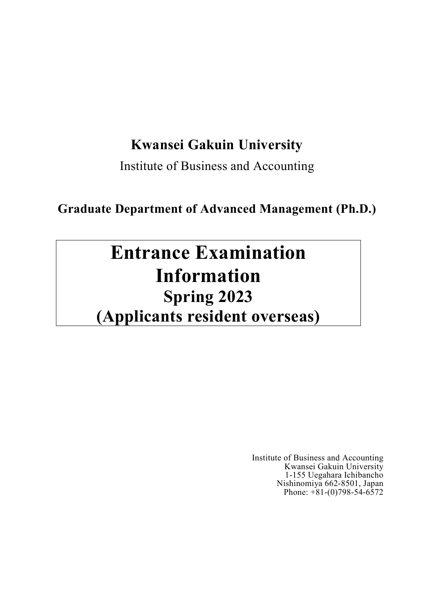# **Kwansei Gakuin University**

Institute of Business and Accounting

# **Graduate Department of Advanced Management (Ph.D.)**

# **Entrance Examination Information Spring 2023 (Applicants resident overseas)**

Institute of Business and Accounting Kwansei Gakuin University 1-155 Uegahara Ichibancho Nishinomiya 662-8501, Japan Phone:  $+81-(0)798-54-6572$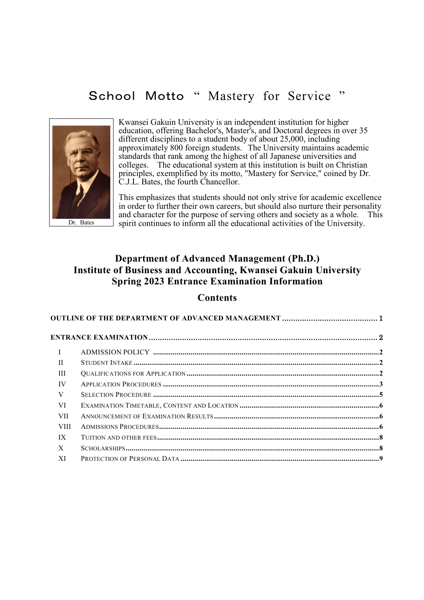# School Motto " Mastery for Service "



Kwansei Gakuin University is an independent institution for higher education, offering Bachelor's, Master's, and Doctoral degrees in over 35 different disciplines to a student body of about 25,000, including approximately 800 foreign students. The University maintains academic standards that rank among the highest of all Japanese universities and colleges. The educational system at this institution is built on Christian principles, exemplified by its motto, ["Mastery for Service,](http://www.kwansei.ac.jp/english/mfs.html)" coined by Dr. C.J.L. Bates, the fourth Chancellor.

This emphasizes that students should not only strive for academic excellence in order to further their own careers, but should also nurture their personality and character for the purpose of serving others and society as a whole. This spirit continues to inform all the educational activities of the University.

# **Department of Advanced Management (Ph.D.) Institute of Business and Accounting, Kwansei Gakuin University Spring 2023 Entrance Examination Information**

## **Contents**

| $\mathbf{I}$ |  |
|--------------|--|
| $\mathbf{H}$ |  |
| Ш            |  |
| IV           |  |
| V            |  |
| VI           |  |
| <b>VII</b>   |  |
| <b>VIII</b>  |  |
| IX           |  |
| X            |  |
| XI           |  |
|              |  |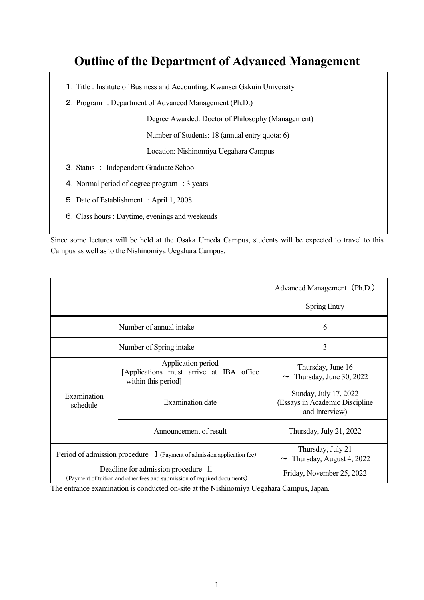# **Outline of the Department of Advanced Management**

- 1.Title : Institute of Business and Accounting, Kwansei Gakuin University
- 2.Program : Department of Advanced Management (Ph.D.)

Degree Awarded: Doctor of Philosophy (Management)

Number of Students: 18 (annual entry quota: 6)

Location: Nishinomiya Uegahara Campus

- 3.Status : Independent Graduate School
- 4.Normal period of degree program : 3 years
- 5.Date of Establishment : April 1, 2008
- 6.Class hours : Daytime, evenings and weekends

Since some lectures will be held at the Osaka Umeda Campus, students will be expected to travel to this Campus as well as to the Nishinomiya Uegahara Campus.

|                                                                                                                 |                                                                                      | Advanced Management (Ph.D.)                                               |
|-----------------------------------------------------------------------------------------------------------------|--------------------------------------------------------------------------------------|---------------------------------------------------------------------------|
|                                                                                                                 |                                                                                      | <b>Spring Entry</b>                                                       |
|                                                                                                                 | Number of annual intake                                                              | 6                                                                         |
|                                                                                                                 | Number of Spring intake                                                              | 3                                                                         |
|                                                                                                                 | Application period<br>[Applications must arrive at IBA office<br>within this period] | Thursday, June 16<br>$\sim$ Thursday, June 30, 2022                       |
| Examination<br>schedule                                                                                         | Examination date                                                                     | Sunday, July 17, 2022<br>(Essays in Academic Discipline<br>and Interview) |
|                                                                                                                 | Announcement of result                                                               | Thursday, July 21, 2022                                                   |
| Period of admission procedure I (Payment of admission application fee)                                          |                                                                                      | Thursday, July 21<br>Thursday, August 4, 2022<br>$\sim$                   |
| Deadline for admission procedure II<br>(Payment of tuition and other fees and submission of required documents) |                                                                                      | Friday, November 25, 2022                                                 |

The entrance examination is conducted on-site at the Nishinomiya Uegahara Campus, Japan.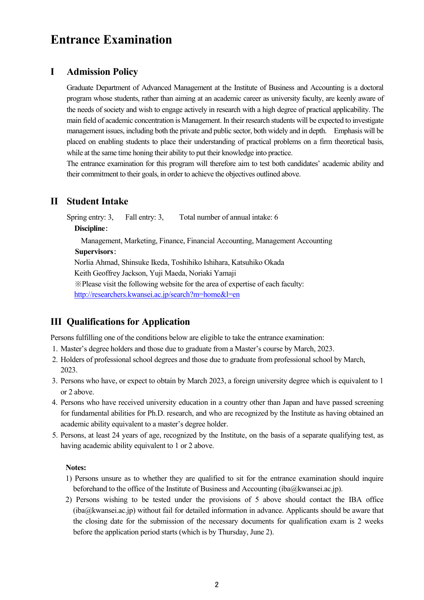# **Entrance Examination**

# **I Admission Policy**

Graduate Department of Advanced Management at the Institute of Business and Accounting is a doctoral program whose students, rather than aiming at an academic career as university faculty, are keenly aware of the needs of society and wish to engage actively in research with a high degree of practical applicability. The main field of academic concentration is Management. In their research students will be expected to investigate management issues, including both the private and public sector, both widely and in depth. Emphasis will be placed on enabling students to place their understanding of practical problems on a firm theoretical basis, while at the same time honing their ability to put their knowledge into practice.

The entrance examination for this program will therefore aim to test both candidates' academic ability and their commitment to their goals, in order to achieve the objectives outlined above.

# **II Student Intake**

Spring entry: 3, Fall entry: 3, Total number of annual intake: 6 **Discipline**: Management, Marketing, Finance, Financial Accounting, Management Accounting **Supervisors**: Norlia Ahmad, Shinsuke Ikeda, Toshihiko Ishihara, Katsuhiko Okada Keith Geoffrey Jackson, Yuji Maeda, Noriaki Yamaji ※Please visit the following website for the area of expertise of each faculty: <http://researchers.kwansei.ac.jp/search?m=home&l=en>

# **III Qualifications for Application**

Persons fulfilling one of the conditions below are eligible to take the entrance examination:

- 1. Master's degree holders and those due to graduate from a Master's course by March, 2023.
- 2. Holders of professional school degrees and those due to graduate from professional school by March, 2023.
- 3. Persons who have, or expect to obtain by March 2023, a foreign university degree which is equivalent to 1 or 2 above.
- 4. Persons who have received university education in a country other than Japan and have passed screening for fundamental abilities for Ph.D. research, and who are recognized by the Institute as having obtained an academic ability equivalent to a master's degree holder.
- 5. Persons, at least 24 years of age, recognized by the Institute, on the basis of a separate qualifying test, as having academic ability equivalent to 1 or 2 above.

#### **Notes:**

- 1) Persons unsure as to whether they are qualified to sit for the entrance examination should inquire beforehand to the office of the Institute of Business and Accounting (iba@kwansei.ac.jp).
- 2) Persons wishing to be tested under the provisions of 5 above should contact the IBA office (iba@kwansei.ac.jp) without fail for detailed information in advance. Applicants should be aware that the closing date for the submission of the necessary documents for qualification exam is 2 weeks before the application period starts (which is by Thursday, June 2).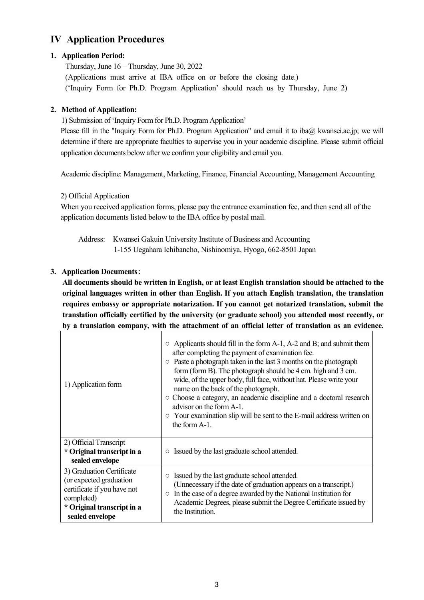# **IV Application Procedures**

# **1. Application Period:**

Thursday, June 16 – Thursday, June 30, 2022 (Applications must arrive at IBA office on or before the closing date.) ('Inquiry Form for Ph.D. Program Application' should reach us by Thursday, June 2)

# **2. Method of Application:**

1) Submission of 'Inquiry Form for Ph.D. Program Application'

Please fill in the "Inquiry Form for Ph.D. Program Application" and email it to iba@ kwansei.ac.jp; we will determine if there are appropriate faculties to supervise you in your academic discipline. Please submit official application documents below after we confirm your eligibility and email you.

Academic discipline: Management, Marketing, Finance, Financial Accounting, Management Accounting

# 2) Official Application

When you received application forms, please pay the entrance examination fee, and then send all of the application documents listed below to the IBA office by postal mail.

Address: Kwansei Gakuin University Institute of Business and Accounting 1-155 Uegahara Ichibancho, Nishinomiya, Hyogo, 662-8501 Japan

# **3. Application Documents**:

**All documents should be written in English, or at least English translation should be attached to the original languages written in other than English. If you attach English translation, the translation requires embassy or appropriate notarization. If you cannot get notarized translation, submit the translation officially certified by the university (or graduate school) you attended most recently, or by a translation company, with the attachment of an official letter of translation as an evidence.**

| 1) Application form                                                                                                                                | $\circ$ Applicants should fill in the form A-1, A-2 and B; and submit them<br>after completing the payment of examination fee.<br>$\circ$ Paste a photograph taken in the last 3 months on the photograph<br>form (form B). The photograph should be 4 cm. high and 3 cm.<br>wide, of the upper body, full face, without hat. Please write your<br>name on the back of the photograph.<br>• Choose a category, an academic discipline and a doctoral research<br>advisor on the form A-1.<br>$\circ$ Your examination slip will be sent to the E-mail address written on<br>the form A-1. |  |
|----------------------------------------------------------------------------------------------------------------------------------------------------|-------------------------------------------------------------------------------------------------------------------------------------------------------------------------------------------------------------------------------------------------------------------------------------------------------------------------------------------------------------------------------------------------------------------------------------------------------------------------------------------------------------------------------------------------------------------------------------------|--|
| 2) Official Transcript<br>* Original transcript in a<br>sealed envelope                                                                            | Issued by the last graduate school attended.<br>$\circ$                                                                                                                                                                                                                                                                                                                                                                                                                                                                                                                                   |  |
| 3) Graduation Certificate<br>(or expected graduation<br>certificate if you have not<br>completed)<br>* Original transcript in a<br>sealed envelope | Issued by the last graduate school attended.<br>$\circ$<br>(Unnecessary if the date of graduation appears on a transcript.)<br>In the case of a degree awarded by the National Institution for<br>$\circlearrowright$<br>Academic Degrees, please submit the Degree Certificate issued by<br>the Institution.                                                                                                                                                                                                                                                                             |  |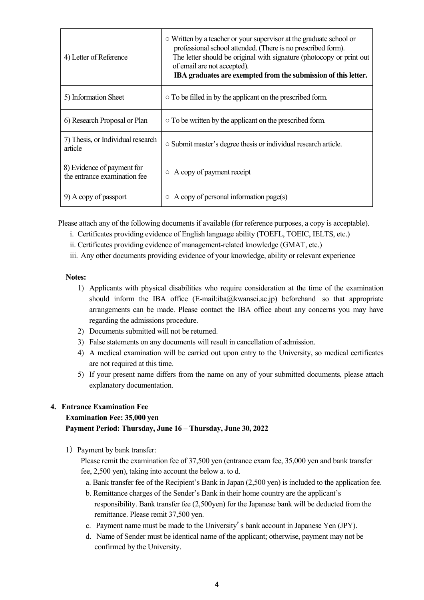| 4) Letter of Reference                                     | ○ Written by a teacher or your supervisor at the graduate school or<br>professional school attended. (There is no prescribed form).<br>The letter should be original with signature (photocopy or print out<br>of email are not accepted).<br>IBA graduates are exempted from the submission of this letter. |
|------------------------------------------------------------|--------------------------------------------------------------------------------------------------------------------------------------------------------------------------------------------------------------------------------------------------------------------------------------------------------------|
| 5) Information Sheet                                       | $\circ$ To be filled in by the applicant on the prescribed form.                                                                                                                                                                                                                                             |
| 6) Research Proposal or Plan                               | $\circ$ To be written by the applicant on the prescribed form.                                                                                                                                                                                                                                               |
| 7) Thesis, or Individual research<br>article               | ○ Submit master's degree thesis or individual research article.                                                                                                                                                                                                                                              |
| 8) Evidence of payment for<br>the entrance examination fee | $\circ$ A copy of payment receipt                                                                                                                                                                                                                                                                            |
| 9) A copy of passport                                      | $\circ$ A copy of personal information page(s)                                                                                                                                                                                                                                                               |

Please attach any of the following documents if available (for reference purposes, a copy is acceptable).

- i. Certificates providing evidence of English language ability (TOEFL, TOEIC, IELTS, etc.)
- ii. Certificates providing evidence of management-related knowledge (GMAT, etc.)
- iii. Any other documents providing evidence of your knowledge, ability or relevant experience

#### **Notes:**

- 1) Applicants with physical disabilities who require consideration at the time of the examination should inform the IBA office (E-mail: $iba@kwansei.ac.jp$ ) beforehand so that appropriate arrangements can be made. Please contact the IBA office about any concerns you may have regarding the admissions procedure.
- 2) Documents submitted will not be returned.
- 3) False statements on any documents will result in cancellation of admission.
- 4) A medical examination will be carried out upon entry to the University, so medical certificates are not required at this time.
- 5) If your present name differs from the name on any of your submitted documents, please attach explanatory documentation.

### **4. Entrance Examination Fee**

### **Examination Fee: 35,000 yen**

### **Payment Period: Thursday, June 16 – Thursday, June 30, 2022**

1) Payment by bank transfer:

Please remit the examination fee of 37,500 yen (entrance exam fee, 35,000 yen and bank transfer fee, 2,500 yen), taking into account the below a. to d.

- a. Bank transfer fee of the Recipient's Bank in Japan (2,500 yen) is included to the application fee.
- b. Remittance charges of the Sender's Bank in their home country are the applicant's responsibility. Bank transfer fee (2,500yen) for the Japanese bank will be deducted from the remittance. Please remit 37,500 yen.
- c. Payment name must be made to the University's bank account in Japanese Yen (JPY).
- d. Name of Sender must be identical name of the applicant; otherwise, payment may not be confirmed by the University.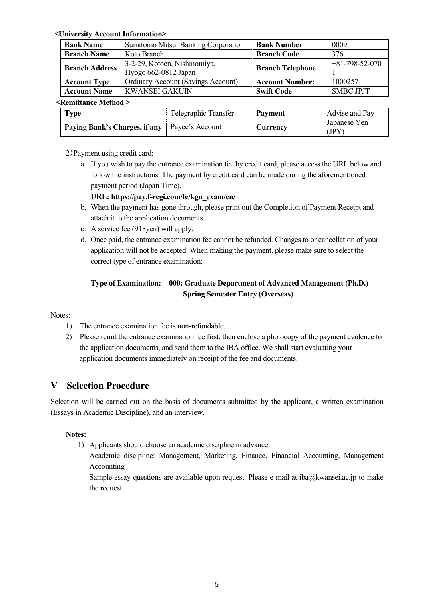#### **<University Account Information>**

| <b>Bank Name</b>      | Sumitomo Mitsui Banking Corporation                  | <b>Bank Number</b>      | 0009             |
|-----------------------|------------------------------------------------------|-------------------------|------------------|
| <b>Branch Name</b>    | Koto Branch                                          | <b>Branch Code</b>      | 376              |
| <b>Branch Address</b> | 3-2-29, Kotoen, Nishinomiya,<br>Hyogo 662-0812 Japan | <b>Branch Telephone</b> | $+81-798-52-070$ |
| <b>Account Type</b>   | <b>Ordinary Account (Savings Account)</b>            | <b>Account Number:</b>  | 1000257          |
| <b>Account Name</b>   | <b>KWANSEI GAKUIN</b>                                | <b>Swift Code</b>       | <b>SMBC JPJT</b> |
| Remittance Method >   |                                                      |                         |                  |

#### **<Remittance Method >**

| <b>Type</b>                                          | Telegraphic Transfer | <b>Payment</b> | Advise and Pay        |
|------------------------------------------------------|----------------------|----------------|-----------------------|
| <b>Paying Bank's Charges, if any</b> Payee's Account |                      | ' Currency     | Japanese Yen<br>(JPY) |

2)Payment using credit card:

a. If you wish to pay the entrance examination fee by credit card, please access the URL below and follow the instructions. The payment by credit card can be made during the aforementioned payment period (Japan Time).

**URL: https://pay.f-regi.com/fc/kgu\_exam/en/** 

- b. When the payment has gone through, please print out the Completion of Payment Receipt and attach it to the application documents.
- c. A service fee (918yen) will apply.
- d. Once paid, the entrance examination fee cannot be refunded. Changes to or cancellation of your application will not be accepted. When making the payment, please make sure to select the correct type of entrance examination:

# **Type of Examination: 000: Graduate Department of Advanced Management (Ph.D.) Spring Semester Entry (Overseas)**

#### Notes:

- 1) The entrance examination fee is non-refundable.
- 2) Please remit the entrance examination fee first, then enclose a photocopy of the payment evidence to the application documents, and send them to the IBA office. We shall start evaluating your application documents immediately on receipt of the fee and documents.

# **V Selection Procedure**

Selection will be carried out on the basis of documents submitted by the applicant, a written examination (Essays in Academic Discipline), and an interview.

### **Notes:**

1) Applicants should choose an academic discipline in advance.

Academic discipline: Management, Marketing, Finance, Financial Accounting, Management Accounting

Sample essay questions are available upon request. Please e-mail at [iba@kwansei.ac.jp](mailto:iba@kwansei.ac.jp) to make the request.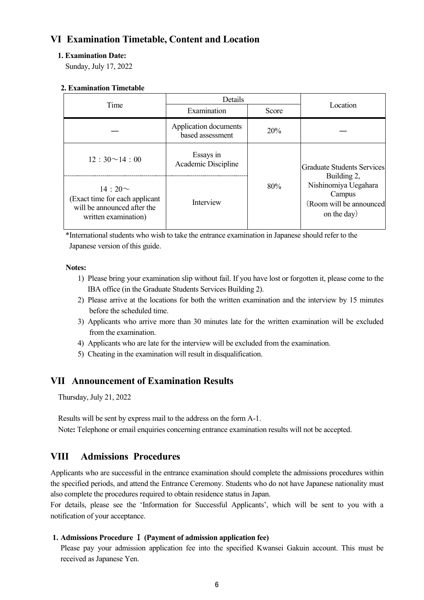# **VI Examination Timetable, Content and Location**

### **1. Examination Date:**

Sunday, July 17, 2022

#### **2. Examination Timetable**

| Time                                                                                                  | Details                                   |       | Location                                                                                |  |
|-------------------------------------------------------------------------------------------------------|-------------------------------------------|-------|-----------------------------------------------------------------------------------------|--|
|                                                                                                       | Examination                               | Score |                                                                                         |  |
|                                                                                                       | Application documents<br>based assessment | 20%   |                                                                                         |  |
| $12:30^{\sim}14:00$                                                                                   | Essays in<br>Academic Discipline          |       | Graduate Students Services                                                              |  |
| $14:20 \sim$<br>(Exact time for each applicant<br>will be announced after the<br>written examination) | Interview                                 | 80%   | Building 2,<br>Nishinomiya Uegahara<br>Campus<br>(Room will be announced<br>on the day) |  |

\*International students who wish to take the entrance examination in Japanese should refer to the Japanese version of this guide.

#### **Notes:**

- 1) Please bring your examination slip without fail. If you have lost or forgotten it, please come to the IBA office (in the Graduate Students Services Building 2).
- 2) Please arrive at the locations for both the written examination and the interview by 15 minutes before the scheduled time.
- 3) Applicants who arrive more than 30 minutes late for the written examination will be excluded from the examination.
- 4) Applicants who are late for the interview will be excluded from the examination.
- 5) Cheating in the examination will result in disqualification.

# **VII Announcement of Examination Results**

Thursday, July 21, 2022

Results will be sent by express mail to the address on the form A-1.

Note**:** Telephone or email enquiries concerning entrance examination results will not be accepted.

# **VIII Admissions Procedures**

Applicants who are successful in the entrance examination should complete the admissions procedures within the specified periods, and attend the Entrance Ceremony. Students who do not have Japanese nationality must also complete the procedures required to obtain residence status in Japan.

For details, please see the 'Information for Successful Applicants', which will be sent to you with a notification of your acceptance.

#### **1. Admissions Procedure** Ⅰ **(Payment of admission application fee)**

Please pay your admission application fee into the specified Kwansei Gakuin account. This must be received as Japanese Yen.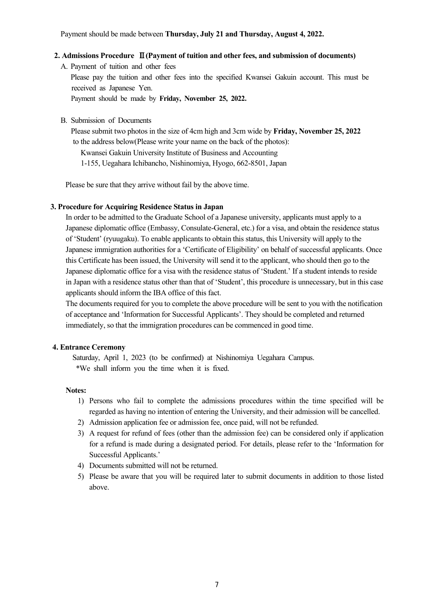Payment should be made between **Thursday, July 21 and Thursday, August 4, 2022.**

#### **2. Admissions Procedure** Ⅱ**(Payment of tuition and other fees, and submission of documents)**

A. Payment of tuition and other fees

Please pay the tuition and other fees into the specified Kwansei Gakuin account. This must be received as Japanese Yen.

Payment should be made by **Friday, November 25, 2022.**

B. Submission of Documents

Please submit two photos in the size of 4cm high and 3cm wide by **Friday, November 25, 2022** to the address below(Please write your name on the back of the photos):

Kwansei Gakuin University Institute of Business and Accounting

1-155, Uegahara Ichibancho, Nishinomiya, Hyogo, 662-8501, Japan

Please be sure that they arrive without fail by the above time.

#### **3. Procedure for Acquiring Residence Status in Japan**

In order to be admitted to the Graduate School of a Japanese university, applicants must apply to a Japanese diplomatic office (Embassy, Consulate-General, etc.) for a visa, and obtain the residence status of 'Student' (ryuugaku). To enable applicants to obtain this status, this University will apply to the Japanese immigration authorities for a 'Certificate of Eligibility' on behalf of successful applicants. Once this Certificate has been issued, the University will send it to the applicant, who should then go to the Japanese diplomatic office for a visa with the residence status of 'Student.' If a student intends to reside in Japan with a residence status other than that of 'Student', this procedure is unnecessary, but in this case applicants should inform the IBA office of this fact.

The documents required for you to complete the above procedure will be sent to you with the notification of acceptance and 'Information for Successful Applicants'. They should be completed and returned immediately, so that the immigration procedures can be commenced in good time.

#### **4. Entrance Ceremony**

Saturday, April 1, 2023 (to be confirmed) at Nishinomiya Uegahara Campus. \*We shall inform you the time when it is fixed.

#### **Notes:**

- 1) Persons who fail to complete the admissions procedures within the time specified will be regarded as having no intention of entering the University, and their admission will be cancelled.
- 2) Admission application fee or admission fee, once paid, will not be refunded.
- 3) A request for refund of fees (other than the admission fee) can be considered only if application for a refund is made during a designated period. For details, please refer to the 'Information for Successful Applicants.'
- 4) Documents submitted will not be returned.
- 5) Please be aware that you will be required later to submit documents in addition to those listed above.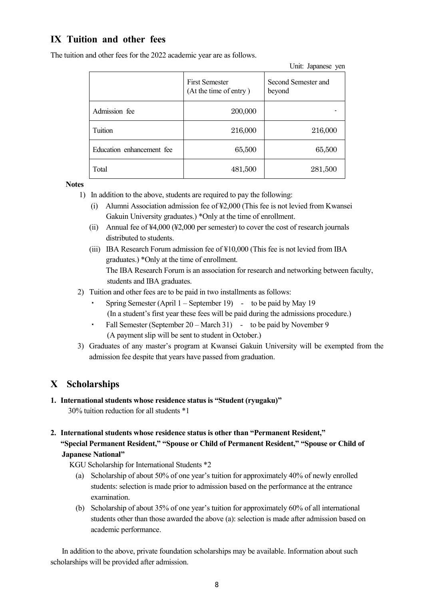# **IX Tuition and other fees**

The tuition and other fees for the 2022 academic year are as follows.

|                           | <b>First Semester</b><br>(At the time of entry) | Second Semester and<br>beyond |
|---------------------------|-------------------------------------------------|-------------------------------|
| Admission fee             | 200,000                                         |                               |
| Tuition                   | 216,000                                         | 216,000                       |
| Education enhancement fee | 65,500                                          | 65,500                        |
| Total                     | 481,500                                         | 281,500                       |

Unit: Japanese yen

**Notes**

- 1) In addition to the above, students are required to pay the following:
	- (i) Alumni Association admission fee of ¥2,000 (This fee is not levied from Kwansei Gakuin University graduates.) \*Only at the time of enrollment.
	- (ii) Annual fee of ¥4,000 (¥2,000 per semester) to cover the cost of research journals distributed to students.
	- (iii) IBA Research Forum admission fee of ¥10,000 (This fee is not levied from IBA graduates.) \*Only at the time of enrollment. The IBA Research Forum is an association for research and networking between faculty, students and IBA graduates.
- 2) Tuition and other fees are to be paid in two installments as follows:
	- Spring Semester (April  $1 -$  September 19) to be paid by May 19 (In a student's first year these fees will be paid during the admissions procedure.)
	- Fall Semester (September 20 March 31) to be paid by November 9 (A payment slip will be sent to student in October.)
- 3) Graduates of any master's program at Kwansei Gakuin University will be exempted from the admission fee despite that years have passed from graduation.

# **X Scholarships**

- **1. International students whose residence status is "Student (ryugaku)"** 30% tuition reduction for all students \*1
- **2. International students whose residence status is other than "Permanent Resident," "Special Permanent Resident," "Spouse or Child of Permanent Resident," "Spouse or Child of Japanese National"**
	- KGU Scholarship for International Students \*2
		- (a) Scholarship of about 50% of one year's tuition for approximately 40% of newly enrolled students: selection is made prior to admission based on the performance at the entrance examination.
		- (b) Scholarship of about 35% of one year's tuition for approximately 60% of all international students other than those awarded the above (a): selection is made after admission based on academic performance.

In addition to the above, private foundation scholarships may be available. Information about such scholarships will be provided after admission.